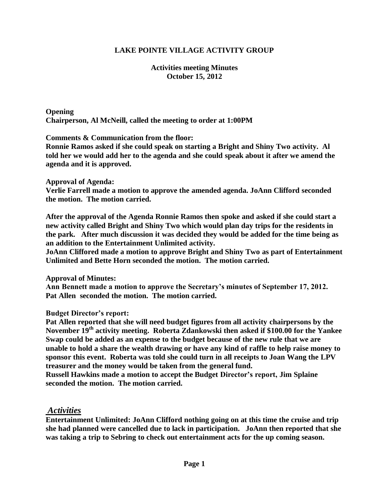# **LAKE POINTE VILLAGE ACTIVITY GROUP**

### **Activities meeting Minutes October 15, 2012**

**Opening Chairperson, Al McNeill, called the meeting to order at 1:00PM**

**Comments & Communication from the floor:** 

**Ronnie Ramos asked if she could speak on starting a Bright and Shiny Two activity. Al told her we would add her to the agenda and she could speak about it after we amend the agenda and it is approved.**

#### **Approval of Agenda:**

**Verlie Farrell made a motion to approve the amended agenda. JoAnn Clifford seconded the motion. The motion carried.**

**After the approval of the Agenda Ronnie Ramos then spoke and asked if she could start a new activity called Bright and Shiny Two which would plan day trips for the residents in the park. After much discussion it was decided they would be added for the time being as an addition to the Entertainment Unlimited activity.**

**JoAnn Cliffored made a motion to approve Bright and Shiny Two as part of Entertainment Unlimited and Bette Horn seconded the motion. The motion carried.**

**Approval of Minutes:**

**Ann Bennett made a motion to approve the Secretary's minutes of September 17, 2012. Pat Allen seconded the motion. The motion carried.**

### **Budget Director's report:**

**Pat Allen reported that she will need budget figures from all activity chairpersons by the November 19th activity meeting. Roberta Zdankowski then asked if \$100.00 for the Yankee Swap could be added as an expense to the budget because of the new rule that we are unable to hold a share the wealth drawing or have any kind of raffle to help raise money to sponsor this event. Roberta was told she could turn in all receipts to Joan Wang the LPV treasurer and the money would be taken from the general fund.**

**Russell Hawkins made a motion to accept the Budget Director's report, Jim Splaine seconded the motion. The motion carried.**

## *Activities*

**Entertainment Unlimited: JoAnn Clifford nothing going on at this time the cruise and trip she had planned were cancelled due to lack in participation. JoAnn then reported that she was taking a trip to Sebring to check out entertainment acts for the up coming season.**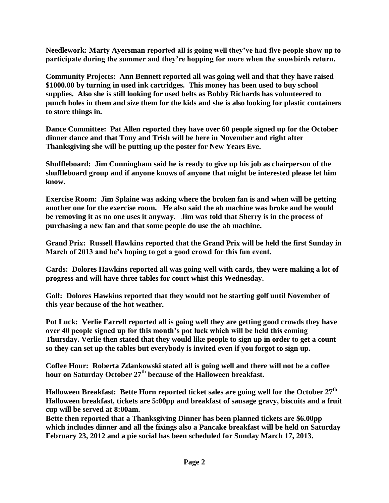**Needlework: Marty Ayersman reported all is going well they've had five people show up to participate during the summer and they're hopping for more when the snowbirds return.**

**Community Projects: Ann Bennett reported all was going well and that they have raised \$1000.00 by turning in used ink cartridges. This money has been used to buy school supplies. Also she is still looking for used belts as Bobby Richards has volunteered to punch holes in them and size them for the kids and she is also looking for plastic containers to store things in.**

**Dance Committee: Pat Allen reported they have over 60 people signed up for the October dinner dance and that Tony and Trish will be here in November and right after Thanksgiving she will be putting up the poster for New Years Eve.** 

**Shuffleboard: Jim Cunningham said he is ready to give up his job as chairperson of the shuffleboard group and if anyone knows of anyone that might be interested please let him know.**

**Exercise Room: Jim Splaine was asking where the broken fan is and when will be getting another one for the exercise room. He also said the ab machine was broke and he would be removing it as no one uses it anyway. Jim was told that Sherry is in the process of purchasing a new fan and that some people do use the ab machine.**

**Grand Prix: Russell Hawkins reported that the Grand Prix will be held the first Sunday in March of 2013 and he's hoping to get a good crowd for this fun event.**

**Cards: Dolores Hawkins reported all was going well with cards, they were making a lot of progress and will have three tables for court whist this Wednesday.**

**Golf: Dolores Hawkins reported that they would not be starting golf until November of this year because of the hot weather.**

**Pot Luck: Verlie Farrell reported all is going well they are getting good crowds they have over 40 people signed up for this month's pot luck which will be held this coming Thursday. Verlie then stated that they would like people to sign up in order to get a count so they can set up the tables but everybody is invited even if you forgot to sign up.**

**Coffee Hour: Roberta Zdankowski stated all is going well and there will not be a coffee hour on Saturday October 27th because of the Halloween breakfast.**

**Halloween Breakfast: Bette Horn reported ticket sales are going well for the October 27th Halloween breakfast, tickets are 5:00pp and breakfast of sausage gravy, biscuits and a fruit cup will be served at 8:00am.**

**Bette then reported that a Thanksgiving Dinner has been planned tickets are \$6.00pp which includes dinner and all the fixings also a Pancake breakfast will be held on Saturday February 23, 2012 and a pie social has been scheduled for Sunday March 17, 2013.**